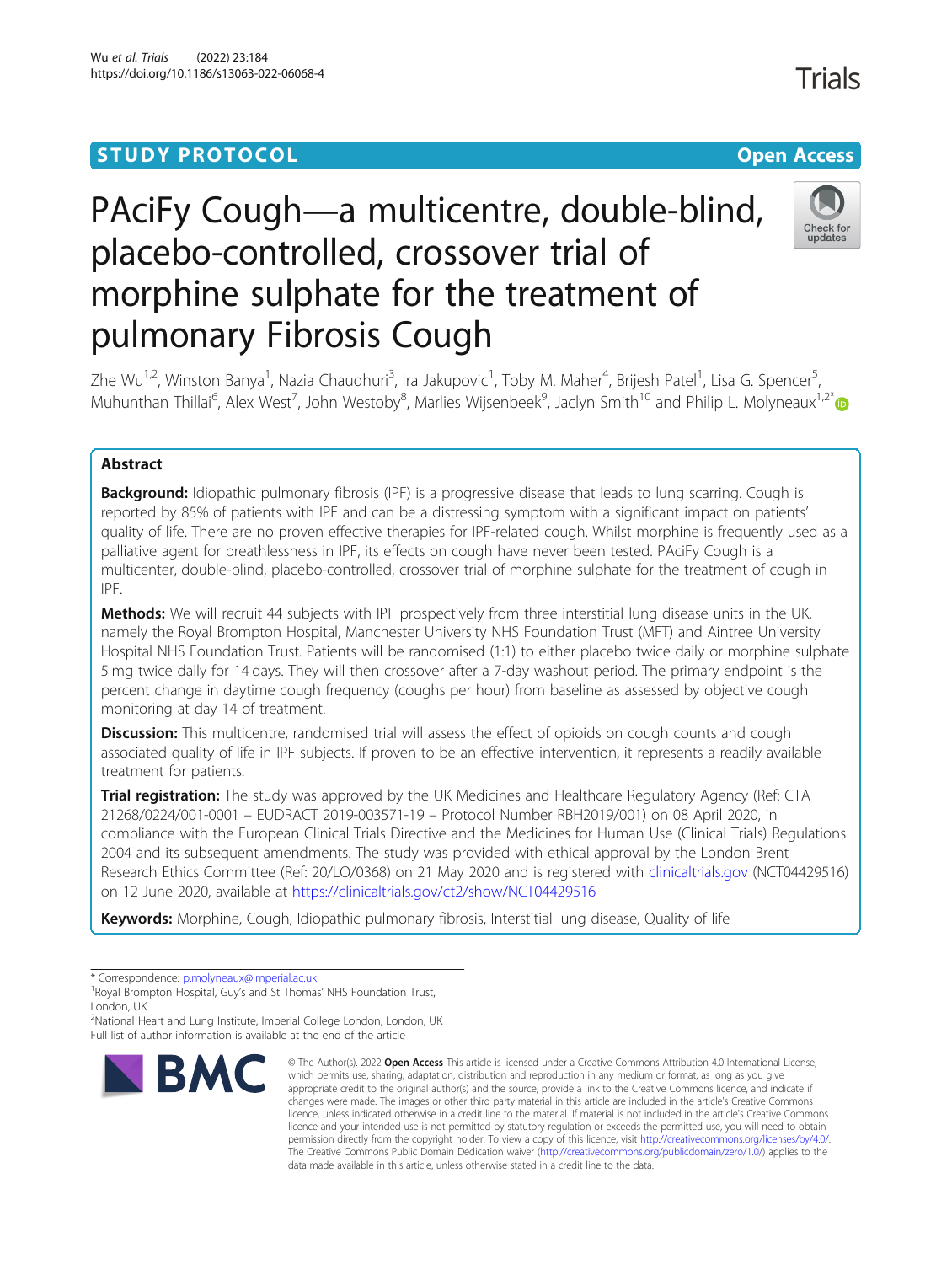# **STUDY PROTOCOL CONSUMING THE CONSUMING OPEN ACCESS**

# PAciFy Cough—a multicentre, double-blind, placebo-controlled, crossover trial of morphine sulphate for the treatment of pulmonary Fibrosis Cough



Zhe Wu<sup>1,2</sup>, Winston Banya<sup>1</sup>, Nazia Chaudhuri<sup>3</sup>, Ira Jakupovic<sup>1</sup>, Toby M. Maher<sup>4</sup>, Brijesh Patel<sup>1</sup>, Lisa G. Spencer<sup>5</sup> , Muhunthan Thillai<sup>6</sup>, Alex West<sup>7</sup>, John Westoby<sup>8</sup>, Marlies Wijsenbeek<sup>9</sup>, Jaclyn Smith<sup>10</sup> and Philip L. Molyneaux<sup>1,2[\\*](http://orcid.org/0000-0003-1301-8800)</sup>

# Abstract

**Background:** Idiopathic pulmonary fibrosis (IPF) is a progressive disease that leads to lung scarring. Cough is reported by 85% of patients with IPF and can be a distressing symptom with a significant impact on patients' quality of life. There are no proven effective therapies for IPF-related cough. Whilst morphine is frequently used as a palliative agent for breathlessness in IPF, its effects on cough have never been tested. PAciFy Cough is a multicenter, double-blind, placebo-controlled, crossover trial of morphine sulphate for the treatment of cough in IPF.

Methods: We will recruit 44 subjects with IPF prospectively from three interstitial lung disease units in the UK, namely the Royal Brompton Hospital, Manchester University NHS Foundation Trust (MFT) and Aintree University Hospital NHS Foundation Trust. Patients will be randomised (1:1) to either placebo twice daily or morphine sulphate 5 mg twice daily for 14 days. They will then crossover after a 7-day washout period. The primary endpoint is the percent change in daytime cough frequency (coughs per hour) from baseline as assessed by objective cough monitoring at day 14 of treatment.

Discussion: This multicentre, randomised trial will assess the effect of opioids on cough counts and cough associated quality of life in IPF subjects. If proven to be an effective intervention, it represents a readily available treatment for patients.

**Trial registration:** The study was approved by the UK Medicines and Healthcare Regulatory Agency (Ref: CTA 21268/0224/001-0001 – EUDRACT 2019-003571-19 – Protocol Number RBH2019/001) on 08 April 2020, in compliance with the European Clinical Trials Directive and the Medicines for Human Use (Clinical Trials) Regulations 2004 and its subsequent amendments. The study was provided with ethical approval by the London Brent Research Ethics Committee (Ref: 20/LO/0368) on 21 May 2020 and is registered with [clinicaltrials.gov](http://clinicaltrials.gov) (NCT04429516) on 12 June 2020, available at <https://clinicaltrials.gov/ct2/show/NCT04429516>

Keywords: Morphine, Cough, Idiopathic pulmonary fibrosis, Interstitial lung disease, Quality of life

<sup>&</sup>lt;sup>2</sup>National Heart and Lung Institute, Imperial College London, London, UK Full list of author information is available at the end of the article



<sup>©</sup> The Author(s), 2022 **Open Access** This article is licensed under a Creative Commons Attribution 4.0 International License, which permits use, sharing, adaptation, distribution and reproduction in any medium or format, as long as you give appropriate credit to the original author(s) and the source, provide a link to the Creative Commons licence, and indicate if changes were made. The images or other third party material in this article are included in the article's Creative Commons licence, unless indicated otherwise in a credit line to the material. If material is not included in the article's Creative Commons licence and your intended use is not permitted by statutory regulation or exceeds the permitted use, you will need to obtain permission directly from the copyright holder. To view a copy of this licence, visit [http://creativecommons.org/licenses/by/4.0/.](http://creativecommons.org/licenses/by/4.0/) The Creative Commons Public Domain Dedication waiver [\(http://creativecommons.org/publicdomain/zero/1.0/](http://creativecommons.org/publicdomain/zero/1.0/)) applies to the data made available in this article, unless otherwise stated in a credit line to the data.

**Trials** 

<sup>\*</sup> Correspondence: [p.molyneaux@imperial.ac.uk](mailto:p.molyneaux@imperial.ac.uk) <sup>1</sup>

<sup>&</sup>lt;sup>1</sup>Royal Brompton Hospital, Guy's and St Thomas' NHS Foundation Trust, London, UK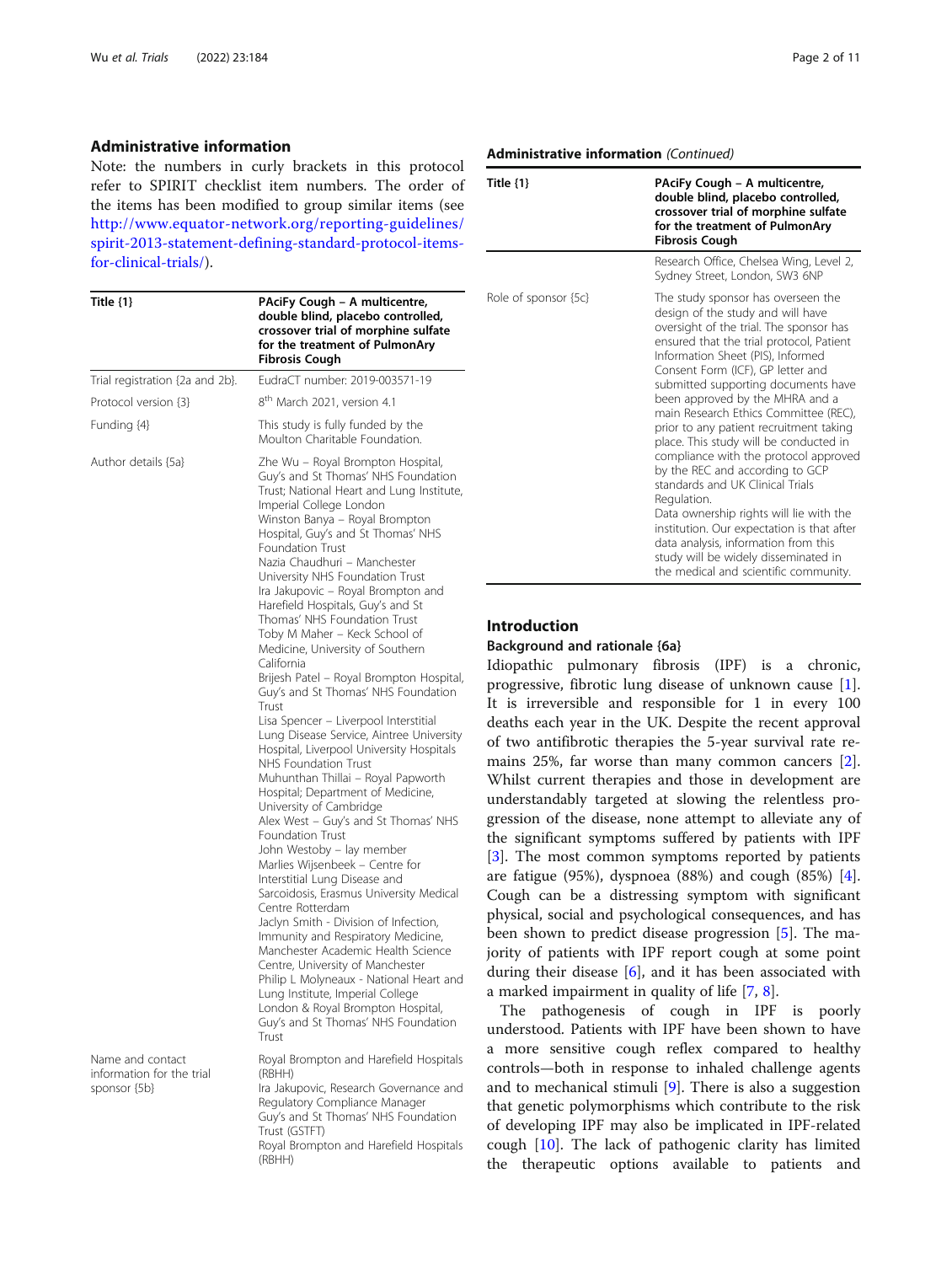## Administrative information

Note: the numbers in curly brackets in this protocol refer to SPIRIT checklist item numbers. The order of the items has been modified to group similar items (see [http://www.equator-network.org/reporting-guidelines/](http://www.equator-network.org/reporting-guidelines/spirit-2013-statement-defining-standard-protocol-items-for-clinical-trials/) [spirit-2013-statement-defining-standard-protocol-items](http://www.equator-network.org/reporting-guidelines/spirit-2013-statement-defining-standard-protocol-items-for-clinical-trials/)[for-clinical-trials/](http://www.equator-network.org/reporting-guidelines/spirit-2013-statement-defining-standard-protocol-items-for-clinical-trials/)).

| Title $\{1\}$                                                 | PAciFy Cough - A multicentre,<br>double blind, placebo controlled,<br>crossover trial of morphine sulfate<br>for the treatment of PulmonAry<br>Fibrosis Cough                                                                                                                                                                                                                                                                                                                                                                                                                                                                                                                                                                                                                                                                                                                                                                                                                                                                                                                                                                                                                                                                                                                                                                                                                                                                                   |
|---------------------------------------------------------------|-------------------------------------------------------------------------------------------------------------------------------------------------------------------------------------------------------------------------------------------------------------------------------------------------------------------------------------------------------------------------------------------------------------------------------------------------------------------------------------------------------------------------------------------------------------------------------------------------------------------------------------------------------------------------------------------------------------------------------------------------------------------------------------------------------------------------------------------------------------------------------------------------------------------------------------------------------------------------------------------------------------------------------------------------------------------------------------------------------------------------------------------------------------------------------------------------------------------------------------------------------------------------------------------------------------------------------------------------------------------------------------------------------------------------------------------------|
| Trial registration {2a and 2b}.                               | EudraCT number: 2019-003571-19                                                                                                                                                                                                                                                                                                                                                                                                                                                                                                                                                                                                                                                                                                                                                                                                                                                                                                                                                                                                                                                                                                                                                                                                                                                                                                                                                                                                                  |
| Protocol version {3}                                          | 8 <sup>th</sup> March 2021, version 4.1                                                                                                                                                                                                                                                                                                                                                                                                                                                                                                                                                                                                                                                                                                                                                                                                                                                                                                                                                                                                                                                                                                                                                                                                                                                                                                                                                                                                         |
| Funding {4}                                                   | This study is fully funded by the<br>Moulton Charitable Foundation.                                                                                                                                                                                                                                                                                                                                                                                                                                                                                                                                                                                                                                                                                                                                                                                                                                                                                                                                                                                                                                                                                                                                                                                                                                                                                                                                                                             |
| Author details {5a}                                           | Zhe Wu - Royal Brompton Hospital,<br>Guy's and St Thomas' NHS Foundation<br>Trust; National Heart and Lung Institute,<br>Imperial College London<br>Winston Banya – Royal Brompton<br>Hospital, Guy's and St Thomas' NHS<br><b>Foundation Trust</b><br>Nazia Chaudhuri - Manchester<br>University NHS Foundation Trust<br>Ira Jakupovic - Royal Brompton and<br>Harefield Hospitals, Guy's and St<br>Thomas' NHS Foundation Trust<br>Toby M Maher - Keck School of<br>Medicine, University of Southern<br>California<br>Brijesh Patel – Royal Brompton Hospital,<br>Guy's and St Thomas' NHS Foundation<br>Trust<br>Lisa Spencer - Liverpool Interstitial<br>Lung Disease Service, Aintree University<br>Hospital, Liverpool University Hospitals<br>NHS Foundation Trust<br>Muhunthan Thillai - Royal Papworth<br>Hospital; Department of Medicine,<br>University of Cambridge<br>Alex West - Guy's and St Thomas' NHS<br><b>Foundation Trust</b><br>John Westoby - lay member<br>Marlies Wijsenbeek - Centre for<br>Interstitial Lung Disease and<br>Sarcoidosis, Erasmus University Medical<br>Centre Rotterdam<br>Jaclyn Smith - Division of Infection,<br>Immunity and Respiratory Medicine,<br>Manchester Academic Health Science<br>Centre, University of Manchester<br>Philip L Molyneaux - National Heart and<br>Lung Institute, Imperial College<br>London & Royal Brompton Hospital,<br>Guy's and St Thomas' NHS Foundation<br>Trust |
| Name and contact<br>information for the trial<br>sponsor {5b} | Royal Brompton and Harefield Hospitals<br>(RBHH)<br>Ira Jakupovic, Research Governance and<br>Regulatory Compliance Manager<br>Guy's and St Thomas' NHS Foundation<br>Trust (GSTFT)<br>Royal Brompton and Harefield Hospitals<br>(RBHH)                                                                                                                                                                                                                                                                                                                                                                                                                                                                                                                                                                                                                                                                                                                                                                                                                                                                                                                                                                                                                                                                                                                                                                                                         |

## Administrative information (Continued)

| Title $\{1\}$        | PAciFy Cough - A multicentre,<br>double blind, placebo controlled,<br>crossover trial of morphine sulfate<br>for the treatment of PulmonAry<br><b>Fibrosis Cough</b>                                                                                                                                                                                                                                                                                                                                                                                                                                                                                                                                                                                                                              |
|----------------------|---------------------------------------------------------------------------------------------------------------------------------------------------------------------------------------------------------------------------------------------------------------------------------------------------------------------------------------------------------------------------------------------------------------------------------------------------------------------------------------------------------------------------------------------------------------------------------------------------------------------------------------------------------------------------------------------------------------------------------------------------------------------------------------------------|
|                      | Research Office, Chelsea Wing, Level 2,<br>Sydney Street, London, SW3 6NP                                                                                                                                                                                                                                                                                                                                                                                                                                                                                                                                                                                                                                                                                                                         |
| Role of sponsor {5c} | The study sponsor has overseen the<br>design of the study and will have<br>oversight of the trial. The sponsor has<br>ensured that the trial protocol, Patient<br>Information Sheet (PIS), Informed<br>Consent Form (ICF), GP letter and<br>submitted supporting documents have<br>been approved by the MHRA and a<br>main Research Ethics Committee (REC),<br>prior to any patient recruitment taking<br>place. This study will be conducted in<br>compliance with the protocol approved<br>by the REC and according to GCP<br>standards and UK Clinical Trials<br>Regulation.<br>Data ownership rights will lie with the<br>institution. Our expectation is that after<br>data analysis, information from this<br>study will be widely disseminated in<br>the medical and scientific community. |

# Introduction

# Background and rationale {6a}

Idiopathic pulmonary fibrosis (IPF) is a chronic, progressive, fibrotic lung disease of unknown cause [\[1](#page-9-0)]. It is irreversible and responsible for 1 in every 100 deaths each year in the UK. Despite the recent approval of two antifibrotic therapies the 5-year survival rate remains 25%, far worse than many common cancers [\[2](#page-9-0)]. Whilst current therapies and those in development are understandably targeted at slowing the relentless progression of the disease, none attempt to alleviate any of the significant symptoms suffered by patients with IPF [[3\]](#page-9-0). The most common symptoms reported by patients are fatigue (95%), dyspnoea (88%) and cough (85%) [\[4](#page-9-0)]. Cough can be a distressing symptom with significant physical, social and psychological consequences, and has been shown to predict disease progression [[5\]](#page-9-0). The majority of patients with IPF report cough at some point during their disease  $[6]$  $[6]$  $[6]$ , and it has been associated with a marked impairment in quality of life [\[7](#page-9-0), [8](#page-9-0)].

The pathogenesis of cough in IPF is poorly understood. Patients with IPF have been shown to have a more sensitive cough reflex compared to healthy controls—both in response to inhaled challenge agents and to mechanical stimuli [\[9](#page-10-0)]. There is also a suggestion that genetic polymorphisms which contribute to the risk of developing IPF may also be implicated in IPF-related cough [[10](#page-10-0)]. The lack of pathogenic clarity has limited the therapeutic options available to patients and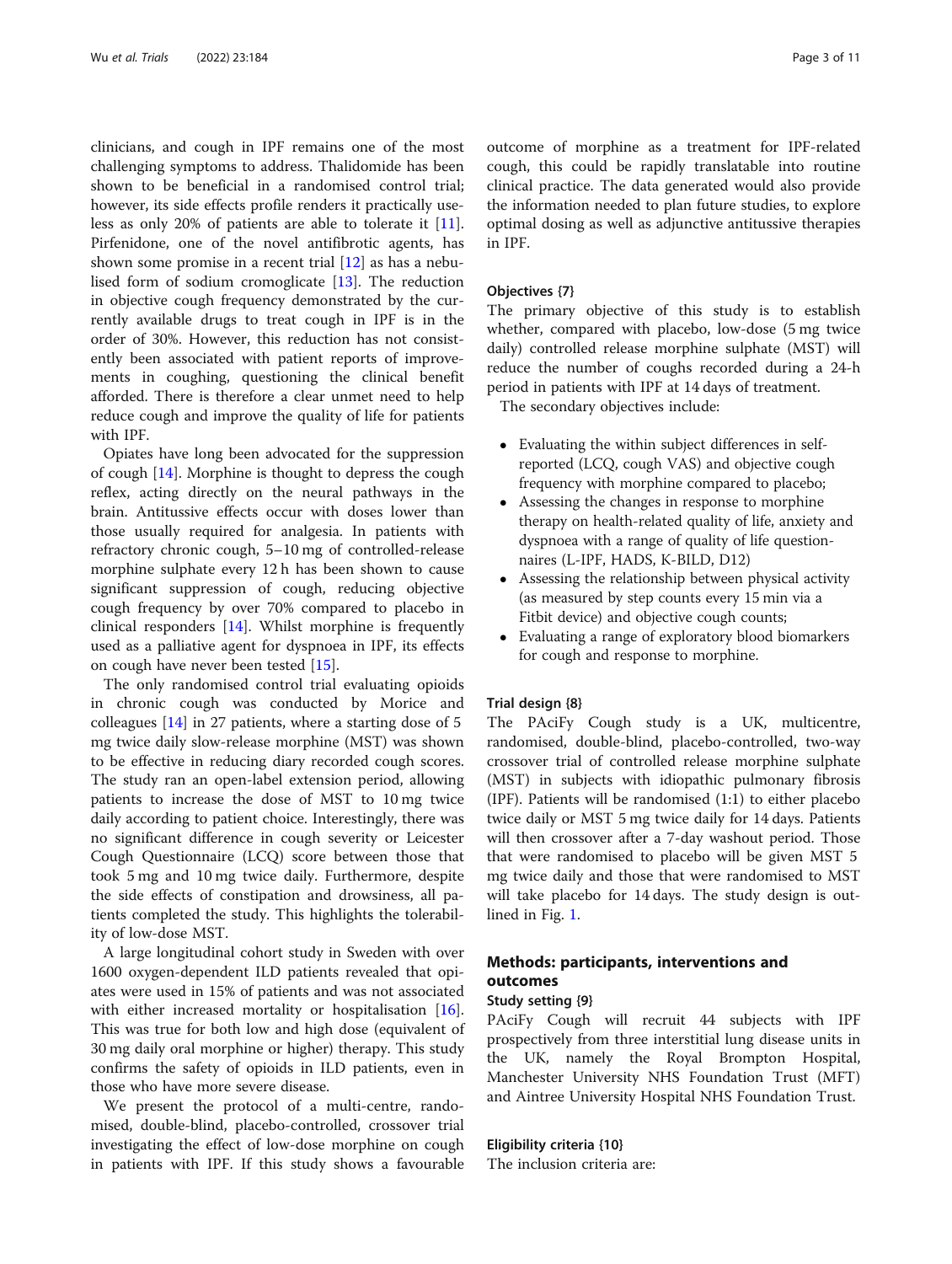clinicians, and cough in IPF remains one of the most challenging symptoms to address. Thalidomide has been shown to be beneficial in a randomised control trial; however, its side effects profile renders it practically useless as only 20% of patients are able to tolerate it [\[11](#page-10-0)]. Pirfenidone, one of the novel antifibrotic agents, has shown some promise in a recent trial [[12\]](#page-10-0) as has a nebulised form of sodium cromoglicate [\[13\]](#page-10-0). The reduction in objective cough frequency demonstrated by the currently available drugs to treat cough in IPF is in the order of 30%. However, this reduction has not consistently been associated with patient reports of improvements in coughing, questioning the clinical benefit afforded. There is therefore a clear unmet need to help reduce cough and improve the quality of life for patients with IPF.

Opiates have long been advocated for the suppression of cough [[14\]](#page-10-0). Morphine is thought to depress the cough reflex, acting directly on the neural pathways in the brain. Antitussive effects occur with doses lower than those usually required for analgesia. In patients with refractory chronic cough, 5–10 mg of controlled-release morphine sulphate every 12 h has been shown to cause significant suppression of cough, reducing objective cough frequency by over 70% compared to placebo in clinical responders [\[14](#page-10-0)]. Whilst morphine is frequently used as a palliative agent for dyspnoea in IPF, its effects on cough have never been tested [\[15](#page-10-0)].

The only randomised control trial evaluating opioids in chronic cough was conducted by Morice and colleagues [[14](#page-10-0)] in 27 patients, where a starting dose of 5 mg twice daily slow-release morphine (MST) was shown to be effective in reducing diary recorded cough scores. The study ran an open-label extension period, allowing patients to increase the dose of MST to 10 mg twice daily according to patient choice. Interestingly, there was no significant difference in cough severity or Leicester Cough Questionnaire (LCQ) score between those that took 5 mg and 10 mg twice daily. Furthermore, despite the side effects of constipation and drowsiness, all patients completed the study. This highlights the tolerability of low-dose MST.

A large longitudinal cohort study in Sweden with over 1600 oxygen-dependent ILD patients revealed that opiates were used in 15% of patients and was not associated with either increased mortality or hospitalisation [\[16](#page-10-0)]. This was true for both low and high dose (equivalent of 30 mg daily oral morphine or higher) therapy. This study confirms the safety of opioids in ILD patients, even in those who have more severe disease.

We present the protocol of a multi-centre, randomised, double-blind, placebo-controlled, crossover trial investigating the effect of low-dose morphine on cough in patients with IPF. If this study shows a favourable outcome of morphine as a treatment for IPF-related cough, this could be rapidly translatable into routine clinical practice. The data generated would also provide the information needed to plan future studies, to explore optimal dosing as well as adjunctive antitussive therapies in IPF.

## Objectives {7}

The primary objective of this study is to establish whether, compared with placebo, low-dose (5 mg twice daily) controlled release morphine sulphate (MST) will reduce the number of coughs recorded during a 24-h period in patients with IPF at 14 days of treatment.

The secondary objectives include:

- Evaluating the within subject differences in selfreported (LCQ, cough VAS) and objective cough frequency with morphine compared to placebo;
- Assessing the changes in response to morphine therapy on health-related quality of life, anxiety and dyspnoea with a range of quality of life questionnaires (L-IPF, HADS, K-BILD, D12)
- Assessing the relationship between physical activity (as measured by step counts every 15 min via a Fitbit device) and objective cough counts;
- Evaluating a range of exploratory blood biomarkers for cough and response to morphine.

## Trial design {8}

The PAciFy Cough study is a UK, multicentre, randomised, double-blind, placebo-controlled, two-way crossover trial of controlled release morphine sulphate (MST) in subjects with idiopathic pulmonary fibrosis (IPF). Patients will be randomised (1:1) to either placebo twice daily or MST 5 mg twice daily for 14 days. Patients will then crossover after a 7-day washout period. Those that were randomised to placebo will be given MST 5 mg twice daily and those that were randomised to MST will take placebo for 14 days. The study design is outlined in Fig. [1](#page-3-0).

# Methods: participants, interventions and outcomes

## Study setting {9}

PAciFy Cough will recruit 44 subjects with IPF prospectively from three interstitial lung disease units in the UK, namely the Royal Brompton Hospital, Manchester University NHS Foundation Trust (MFT) and Aintree University Hospital NHS Foundation Trust.

## Eligibility criteria {10}

The inclusion criteria are: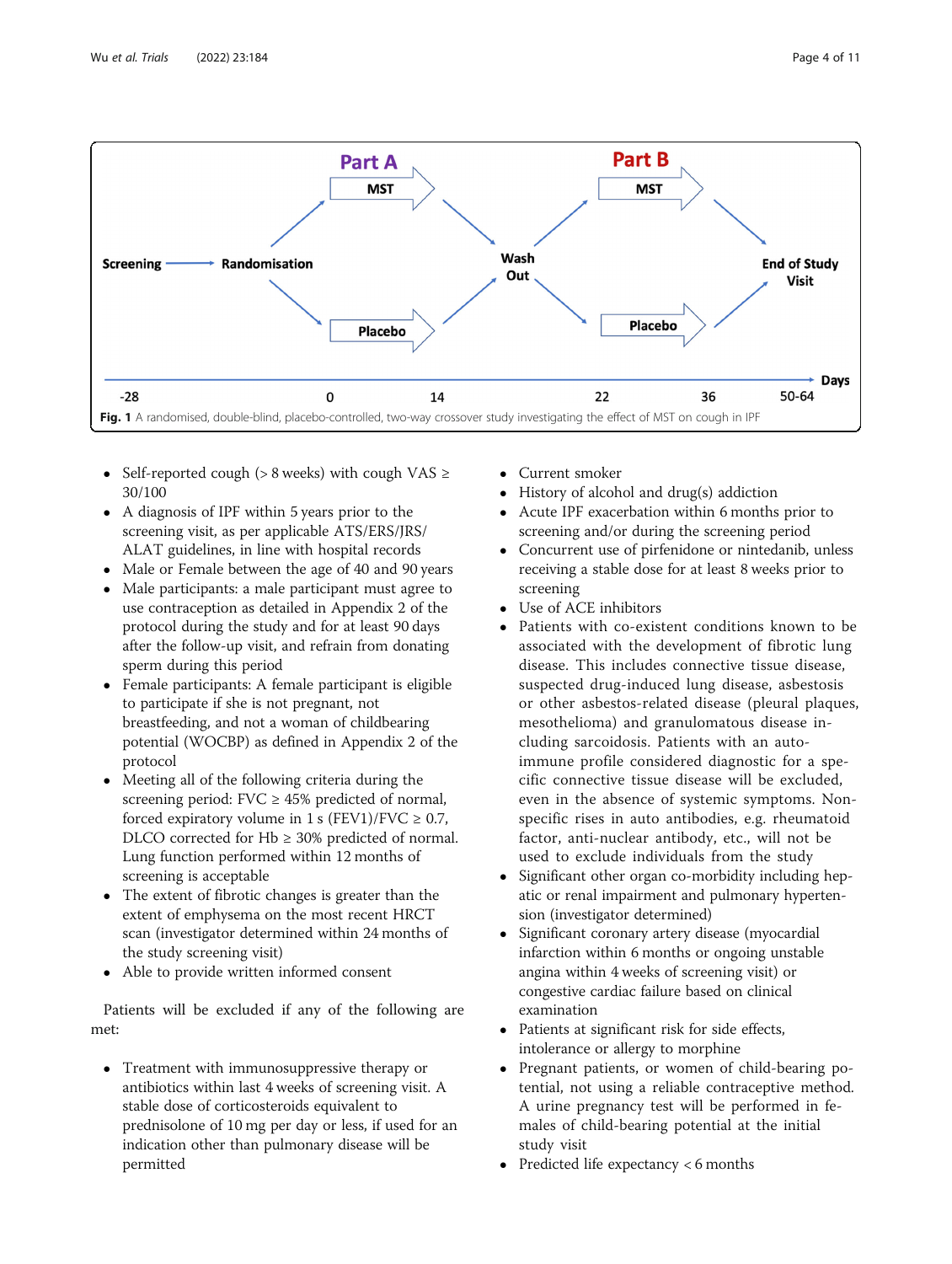<span id="page-3-0"></span>

- Self-reported cough ( $> 8$  weeks) with cough VAS  $\ge$ 30/100
- A diagnosis of IPF within 5 years prior to the screening visit, as per applicable ATS/ERS/JRS/ ALAT guidelines, in line with hospital records
- Male or Female between the age of 40 and 90 years
- Male participants: a male participant must agree to use contraception as detailed in Appendix 2 of the protocol during the study and for at least 90 days after the follow-up visit, and refrain from donating sperm during this period
- Female participants: A female participant is eligible to participate if she is not pregnant, not breastfeeding, and not a woman of childbearing potential (WOCBP) as defined in Appendix 2 of the protocol
- Meeting all of the following criteria during the screening period:  $FVC \geq 45\%$  predicted of normal, forced expiratory volume in 1 s (FEV1)/FVC  $\geq$  0.7, DLCO corrected for  $Hb \geq 30\%$  predicted of normal. Lung function performed within 12 months of screening is acceptable
- The extent of fibrotic changes is greater than the extent of emphysema on the most recent HRCT scan (investigator determined within 24 months of the study screening visit)
- Able to provide written informed consent

Patients will be excluded if any of the following are met:

 Treatment with immunosuppressive therapy or antibiotics within last 4 weeks of screening visit. A stable dose of corticosteroids equivalent to prednisolone of 10 mg per day or less, if used for an indication other than pulmonary disease will be permitted

- Current smoker
- History of alcohol and drug(s) addiction<br>• Acute IPE exacerbation within 6 months
- Acute IPF exacerbation within 6 months prior to screening and/or during the screening period
- Concurrent use of pirfenidone or nintedanib, unless receiving a stable dose for at least 8 weeks prior to screening
- Use of ACE inhibitors
- Patients with co-existent conditions known to be associated with the development of fibrotic lung disease. This includes connective tissue disease, suspected drug-induced lung disease, asbestosis or other asbestos-related disease (pleural plaques, mesothelioma) and granulomatous disease including sarcoidosis. Patients with an autoimmune profile considered diagnostic for a specific connective tissue disease will be excluded, even in the absence of systemic symptoms. Nonspecific rises in auto antibodies, e.g. rheumatoid factor, anti-nuclear antibody, etc., will not be used to exclude individuals from the study
- Significant other organ co-morbidity including hepatic or renal impairment and pulmonary hypertension (investigator determined)
- Significant coronary artery disease (myocardial infarction within 6 months or ongoing unstable angina within 4 weeks of screening visit) or congestive cardiac failure based on clinical examination
- Patients at significant risk for side effects, intolerance or allergy to morphine
- Pregnant patients, or women of child-bearing potential, not using a reliable contraceptive method. A urine pregnancy test will be performed in females of child-bearing potential at the initial study visit
- Predicted life expectancy < 6 months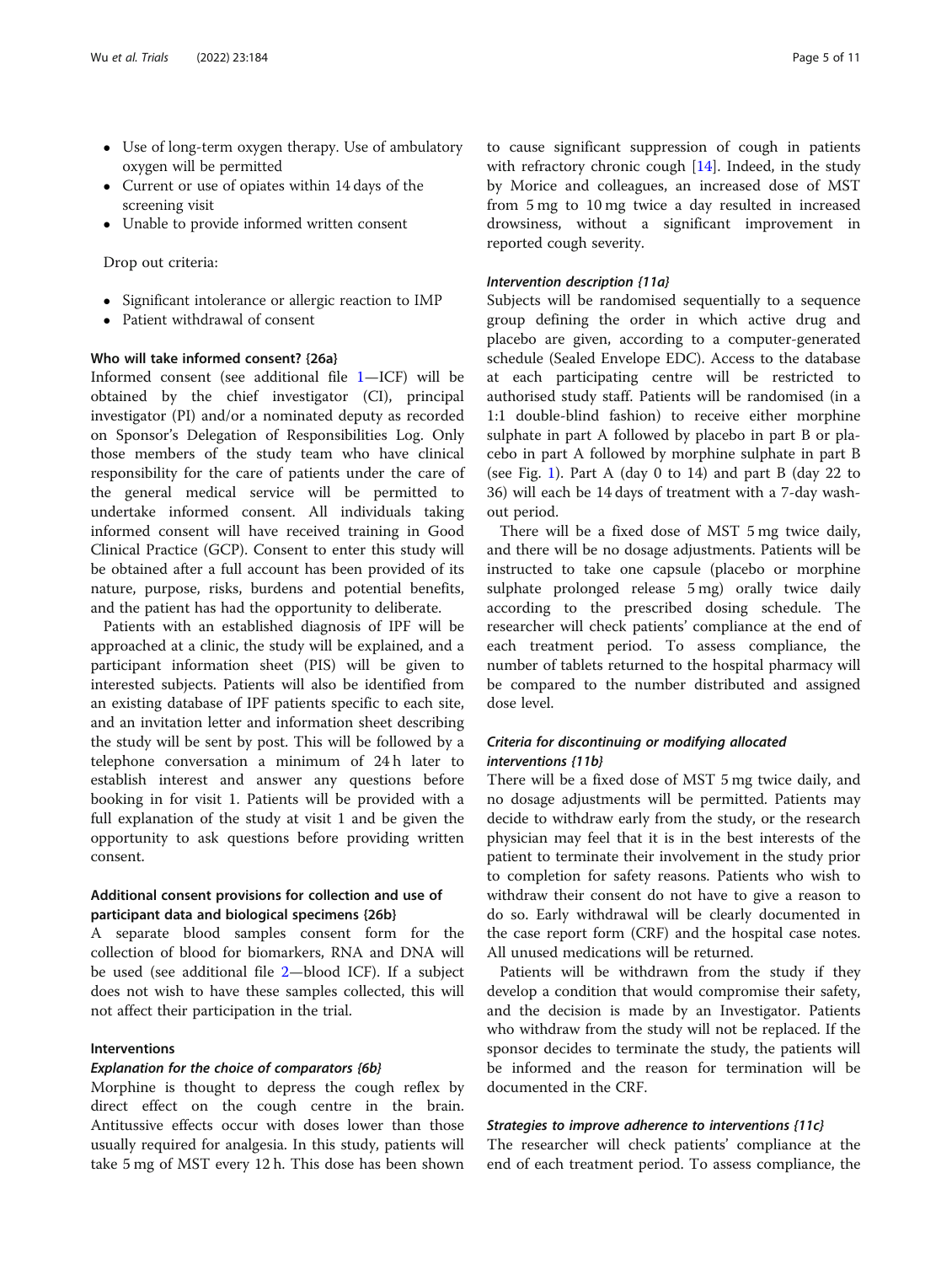- Use of long-term oxygen therapy. Use of ambulatory oxygen will be permitted
- Current or use of opiates within 14 days of the screening visit
- Unable to provide informed written consent

## Drop out criteria:

- Significant intolerance or allergic reaction to IMP
- Patient withdrawal of consent

# Who will take informed consent? {26a}

Informed consent (see additional file [1](#page-9-0)—ICF) will be obtained by the chief investigator (CI), principal investigator (PI) and/or a nominated deputy as recorded on Sponsor's Delegation of Responsibilities Log. Only those members of the study team who have clinical responsibility for the care of patients under the care of the general medical service will be permitted to undertake informed consent. All individuals taking informed consent will have received training in Good Clinical Practice (GCP). Consent to enter this study will be obtained after a full account has been provided of its nature, purpose, risks, burdens and potential benefits, and the patient has had the opportunity to deliberate.

Patients with an established diagnosis of IPF will be approached at a clinic, the study will be explained, and a participant information sheet (PIS) will be given to interested subjects. Patients will also be identified from an existing database of IPF patients specific to each site, and an invitation letter and information sheet describing the study will be sent by post. This will be followed by a telephone conversation a minimum of 24 h later to establish interest and answer any questions before booking in for visit 1. Patients will be provided with a full explanation of the study at visit 1 and be given the opportunity to ask questions before providing written consent.

# Additional consent provisions for collection and use of participant data and biological specimens {26b}

A separate blood samples consent form for the collection of blood for biomarkers, RNA and DNA will be used (see additional file [2](#page-9-0)—blood ICF). If a subject does not wish to have these samples collected, this will not affect their participation in the trial.

# Interventions

## Explanation for the choice of comparators {6b}

Morphine is thought to depress the cough reflex by direct effect on the cough centre in the brain. Antitussive effects occur with doses lower than those usually required for analgesia. In this study, patients will take 5 mg of MST every 12 h. This dose has been shown to cause significant suppression of cough in patients with refractory chronic cough [[14\]](#page-10-0). Indeed, in the study by Morice and colleagues, an increased dose of MST from 5 mg to 10 mg twice a day resulted in increased drowsiness, without a significant improvement in reported cough severity.

## Intervention description {11a}

Subjects will be randomised sequentially to a sequence group defining the order in which active drug and placebo are given, according to a computer-generated schedule (Sealed Envelope EDC). Access to the database at each participating centre will be restricted to authorised study staff. Patients will be randomised (in a 1:1 double-blind fashion) to receive either morphine sulphate in part A followed by placebo in part B or placebo in part A followed by morphine sulphate in part B (see Fig. [1\)](#page-3-0). Part A (day 0 to 14) and part B (day 22 to 36) will each be 14 days of treatment with a 7-day washout period.

There will be a fixed dose of MST 5 mg twice daily, and there will be no dosage adjustments. Patients will be instructed to take one capsule (placebo or morphine sulphate prolonged release 5 mg) orally twice daily according to the prescribed dosing schedule. The researcher will check patients' compliance at the end of each treatment period. To assess compliance, the number of tablets returned to the hospital pharmacy will be compared to the number distributed and assigned dose level.

# Criteria for discontinuing or modifying allocated interventions {11b}

There will be a fixed dose of MST 5 mg twice daily, and no dosage adjustments will be permitted. Patients may decide to withdraw early from the study, or the research physician may feel that it is in the best interests of the patient to terminate their involvement in the study prior to completion for safety reasons. Patients who wish to withdraw their consent do not have to give a reason to do so. Early withdrawal will be clearly documented in the case report form (CRF) and the hospital case notes. All unused medications will be returned.

Patients will be withdrawn from the study if they develop a condition that would compromise their safety, and the decision is made by an Investigator. Patients who withdraw from the study will not be replaced. If the sponsor decides to terminate the study, the patients will be informed and the reason for termination will be documented in the CRF.

## Strategies to improve adherence to interventions {11c}

The researcher will check patients' compliance at the end of each treatment period. To assess compliance, the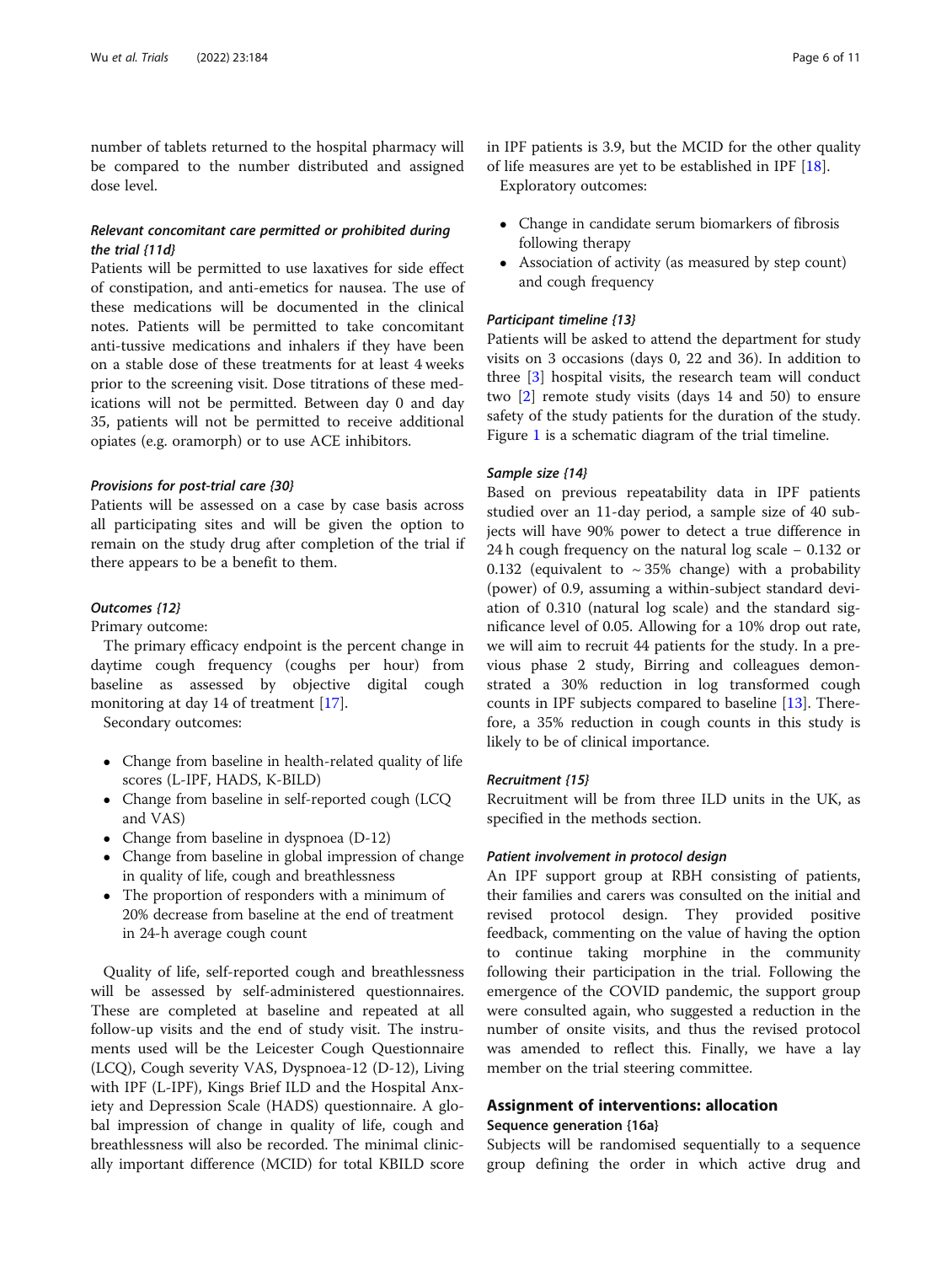<span id="page-5-0"></span>number of tablets returned to the hospital pharmacy will be compared to the number distributed and assigned dose level.

# Relevant concomitant care permitted or prohibited during the trial {11d}

Patients will be permitted to use laxatives for side effect of constipation, and anti-emetics for nausea. The use of these medications will be documented in the clinical notes. Patients will be permitted to take concomitant anti-tussive medications and inhalers if they have been on a stable dose of these treatments for at least 4 weeks prior to the screening visit. Dose titrations of these medications will not be permitted. Between day 0 and day 35, patients will not be permitted to receive additional opiates (e.g. oramorph) or to use ACE inhibitors.

# Provisions for post-trial care {30}

Patients will be assessed on a case by case basis across all participating sites and will be given the option to remain on the study drug after completion of the trial if there appears to be a benefit to them.

## Outcomes {12}

Primary outcome:

The primary efficacy endpoint is the percent change in daytime cough frequency (coughs per hour) from baseline as assessed by objective digital cough monitoring at day 14 of treatment [[17\]](#page-10-0).

Secondary outcomes:

- Change from baseline in health-related quality of life scores (L-IPF, HADS, K-BILD)
- Change from baseline in self-reported cough (LCQ and VAS)
- Change from baseline in dyspnoea (D-12)
- Change from baseline in global impression of change in quality of life, cough and breathlessness
- The proportion of responders with a minimum of 20% decrease from baseline at the end of treatment in 24-h average cough count

Quality of life, self-reported cough and breathlessness will be assessed by self-administered questionnaires. These are completed at baseline and repeated at all follow-up visits and the end of study visit. The instruments used will be the Leicester Cough Questionnaire (LCQ), Cough severity VAS, Dyspnoea-12 (D-12), Living with IPF (L-IPF), Kings Brief ILD and the Hospital Anxiety and Depression Scale (HADS) questionnaire. A global impression of change in quality of life, cough and breathlessness will also be recorded. The minimal clinically important difference (MCID) for total KBILD score in IPF patients is 3.9, but the MCID for the other quality of life measures are yet to be established in IPF [\[18](#page-10-0)]. Exploratory outcomes:

- Change in candidate serum biomarkers of fibrosis following therapy
- Association of activity (as measured by step count) and cough frequency

## Participant timeline {13}

Patients will be asked to attend the department for study visits on 3 occasions (days 0, 22 and 36). In addition to three [[3\]](#page-9-0) hospital visits, the research team will conduct two [\[2](#page-9-0)] remote study visits (days 14 and 50) to ensure safety of the study patients for the duration of the study. Figure [1](#page-3-0) is a schematic diagram of the trial timeline.

## Sample size {14}

Based on previous repeatability data in IPF patients studied over an 11-day period, a sample size of 40 subjects will have 90% power to detect a true difference in 24 h cough frequency on the natural log scale − 0.132 or 0.132 (equivalent to  $\sim$  35% change) with a probability (power) of 0.9, assuming a within-subject standard deviation of 0.310 (natural log scale) and the standard significance level of 0.05. Allowing for a 10% drop out rate, we will aim to recruit 44 patients for the study. In a previous phase 2 study, Birring and colleagues demonstrated a 30% reduction in log transformed cough counts in IPF subjects compared to baseline [\[13](#page-10-0)]. Therefore, a 35% reduction in cough counts in this study is likely to be of clinical importance.

## Recruitment {15}

Recruitment will be from three ILD units in the UK, as specified in the methods section.

## Patient involvement in protocol design

An IPF support group at RBH consisting of patients, their families and carers was consulted on the initial and revised protocol design. They provided positive feedback, commenting on the value of having the option to continue taking morphine in the community following their participation in the trial. Following the emergence of the COVID pandemic, the support group were consulted again, who suggested a reduction in the number of onsite visits, and thus the revised protocol was amended to reflect this. Finally, we have a lay member on the trial steering committee.

# Assignment of interventions: allocation

# Sequence generation {16a}

Subjects will be randomised sequentially to a sequence group defining the order in which active drug and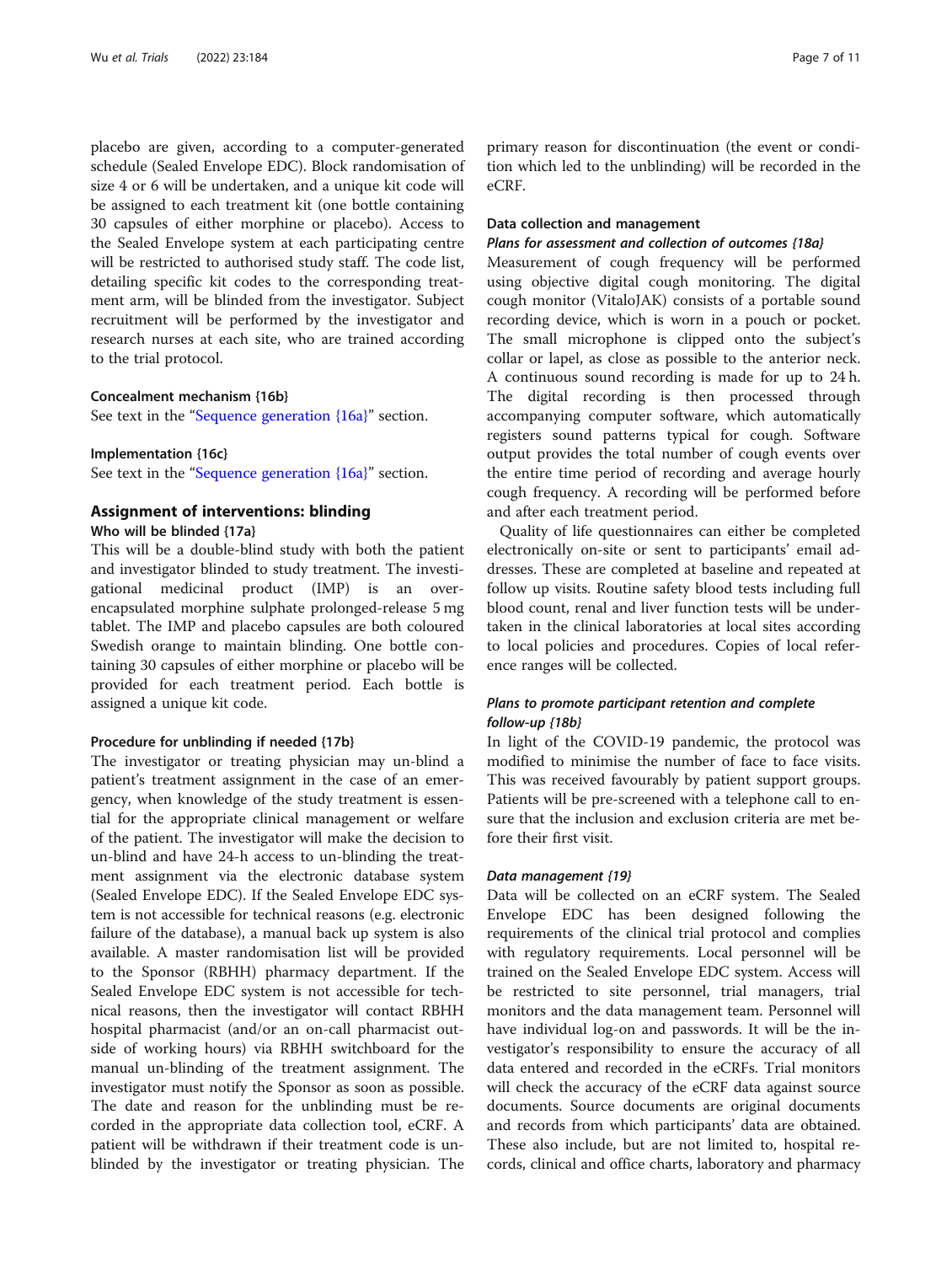placebo are given, according to a computer-generated schedule (Sealed Envelope EDC). Block randomisation of size 4 or 6 will be undertaken, and a unique kit code will be assigned to each treatment kit (one bottle containing 30 capsules of either morphine or placebo). Access to the Sealed Envelope system at each participating centre will be restricted to authorised study staff. The code list, detailing specific kit codes to the corresponding treatment arm, will be blinded from the investigator. Subject recruitment will be performed by the investigator and research nurses at each site, who are trained according to the trial protocol.

## Concealment mechanism {16b}

See text in the "[Sequence generation {16a}](#page-5-0)" section.

## Implementation {16c}

See text in the "[Sequence generation {16a}](#page-5-0)" section.

## Assignment of interventions: blinding

Who will be blinded {17a}

This will be a double-blind study with both the patient and investigator blinded to study treatment. The investigational medicinal product (IMP) is an overencapsulated morphine sulphate prolonged-release 5 mg tablet. The IMP and placebo capsules are both coloured Swedish orange to maintain blinding. One bottle containing 30 capsules of either morphine or placebo will be provided for each treatment period. Each bottle is assigned a unique kit code.

## Procedure for unblinding if needed {17b}

The investigator or treating physician may un-blind a patient's treatment assignment in the case of an emergency, when knowledge of the study treatment is essential for the appropriate clinical management or welfare of the patient. The investigator will make the decision to un-blind and have 24-h access to un-blinding the treatment assignment via the electronic database system (Sealed Envelope EDC). If the Sealed Envelope EDC system is not accessible for technical reasons (e.g. electronic failure of the database), a manual back up system is also available. A master randomisation list will be provided to the Sponsor (RBHH) pharmacy department. If the Sealed Envelope EDC system is not accessible for technical reasons, then the investigator will contact RBHH hospital pharmacist (and/or an on-call pharmacist outside of working hours) via RBHH switchboard for the manual un-blinding of the treatment assignment. The investigator must notify the Sponsor as soon as possible. The date and reason for the unblinding must be recorded in the appropriate data collection tool, eCRF. A patient will be withdrawn if their treatment code is unblinded by the investigator or treating physician. The

primary reason for discontinuation (the event or condition which led to the unblinding) will be recorded in the eCRF.

# Data collection and management

## Plans for assessment and collection of outcomes {18a}

Measurement of cough frequency will be performed using objective digital cough monitoring. The digital cough monitor (VitaloJAK) consists of a portable sound recording device, which is worn in a pouch or pocket. The small microphone is clipped onto the subject's collar or lapel, as close as possible to the anterior neck. A continuous sound recording is made for up to 24 h. The digital recording is then processed through accompanying computer software, which automatically registers sound patterns typical for cough. Software output provides the total number of cough events over the entire time period of recording and average hourly cough frequency. A recording will be performed before and after each treatment period.

Quality of life questionnaires can either be completed electronically on-site or sent to participants' email addresses. These are completed at baseline and repeated at follow up visits. Routine safety blood tests including full blood count, renal and liver function tests will be undertaken in the clinical laboratories at local sites according to local policies and procedures. Copies of local reference ranges will be collected.

# Plans to promote participant retention and complete follow-up {18b}

In light of the COVID-19 pandemic, the protocol was modified to minimise the number of face to face visits. This was received favourably by patient support groups. Patients will be pre-screened with a telephone call to ensure that the inclusion and exclusion criteria are met before their first visit.

## Data management {19}

Data will be collected on an eCRF system. The Sealed Envelope EDC has been designed following the requirements of the clinical trial protocol and complies with regulatory requirements. Local personnel will be trained on the Sealed Envelope EDC system. Access will be restricted to site personnel, trial managers, trial monitors and the data management team. Personnel will have individual log-on and passwords. It will be the investigator's responsibility to ensure the accuracy of all data entered and recorded in the eCRFs. Trial monitors will check the accuracy of the eCRF data against source documents. Source documents are original documents and records from which participants' data are obtained. These also include, but are not limited to, hospital records, clinical and office charts, laboratory and pharmacy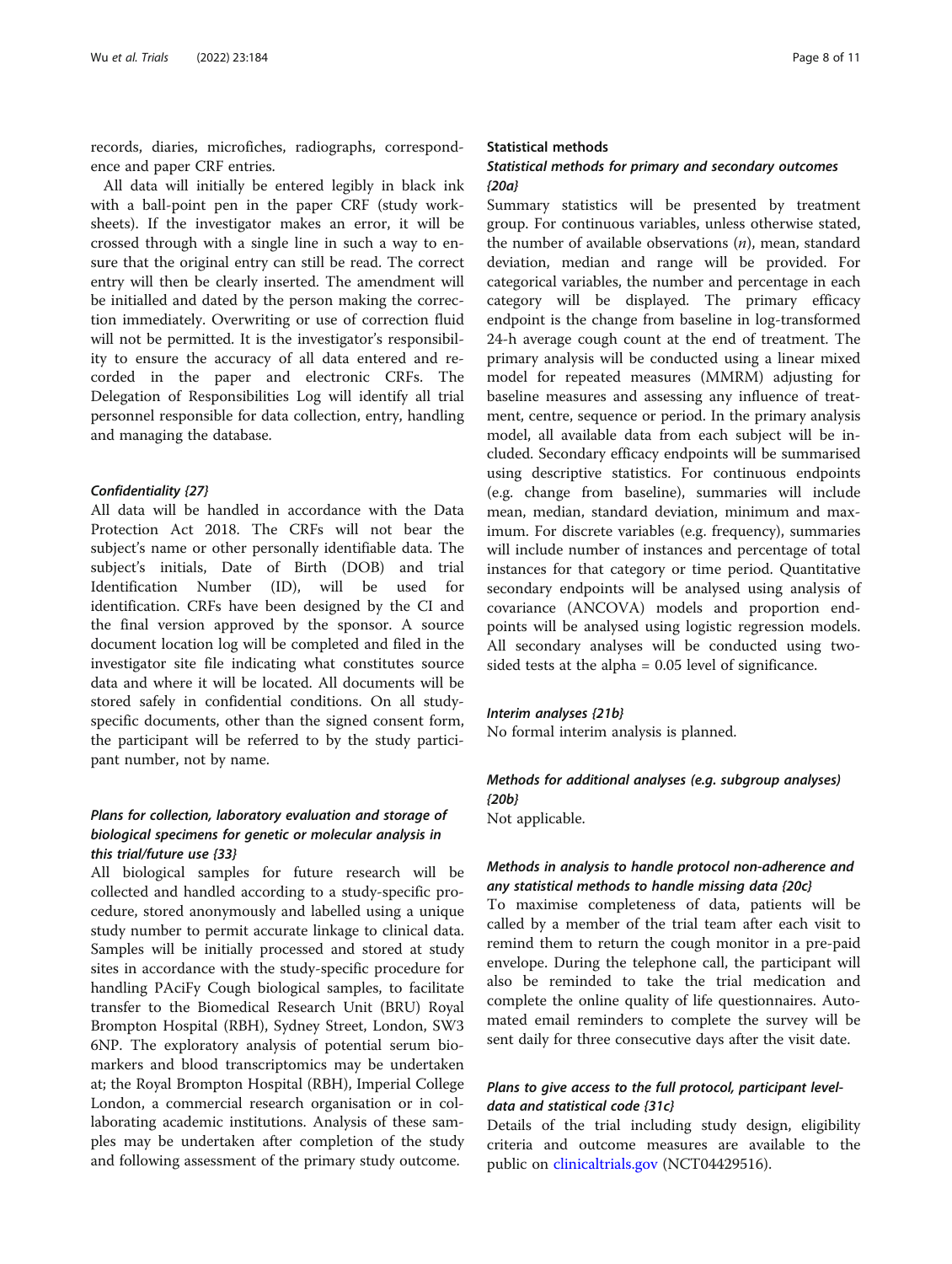records, diaries, microfiches, radiographs, correspondence and paper CRF entries.

All data will initially be entered legibly in black ink with a ball-point pen in the paper CRF (study worksheets). If the investigator makes an error, it will be crossed through with a single line in such a way to ensure that the original entry can still be read. The correct entry will then be clearly inserted. The amendment will be initialled and dated by the person making the correction immediately. Overwriting or use of correction fluid will not be permitted. It is the investigator's responsibility to ensure the accuracy of all data entered and recorded in the paper and electronic CRFs. The Delegation of Responsibilities Log will identify all trial personnel responsible for data collection, entry, handling and managing the database.

## Confidentiality {27}

All data will be handled in accordance with the Data Protection Act 2018. The CRFs will not bear the subject's name or other personally identifiable data. The subject's initials, Date of Birth (DOB) and trial Identification Number (ID), will be used for identification. CRFs have been designed by the CI and the final version approved by the sponsor. A source document location log will be completed and filed in the investigator site file indicating what constitutes source data and where it will be located. All documents will be stored safely in confidential conditions. On all studyspecific documents, other than the signed consent form, the participant will be referred to by the study participant number, not by name.

# Plans for collection, laboratory evaluation and storage of biological specimens for genetic or molecular analysis in this trial/future use {33}

All biological samples for future research will be collected and handled according to a study-specific procedure, stored anonymously and labelled using a unique study number to permit accurate linkage to clinical data. Samples will be initially processed and stored at study sites in accordance with the study-specific procedure for handling PAciFy Cough biological samples, to facilitate transfer to the Biomedical Research Unit (BRU) Royal Brompton Hospital (RBH), Sydney Street, London, SW3 6NP. The exploratory analysis of potential serum biomarkers and blood transcriptomics may be undertaken at; the Royal Brompton Hospital (RBH), Imperial College London, a commercial research organisation or in collaborating academic institutions. Analysis of these samples may be undertaken after completion of the study and following assessment of the primary study outcome.

## Statistical methods

# Statistical methods for primary and secondary outcomes {20a}

Summary statistics will be presented by treatment group. For continuous variables, unless otherwise stated, the number of available observations  $(n)$ , mean, standard deviation, median and range will be provided. For categorical variables, the number and percentage in each category will be displayed. The primary efficacy endpoint is the change from baseline in log-transformed 24-h average cough count at the end of treatment. The primary analysis will be conducted using a linear mixed model for repeated measures (MMRM) adjusting for baseline measures and assessing any influence of treatment, centre, sequence or period. In the primary analysis model, all available data from each subject will be included. Secondary efficacy endpoints will be summarised using descriptive statistics. For continuous endpoints (e.g. change from baseline), summaries will include mean, median, standard deviation, minimum and maximum. For discrete variables (e.g. frequency), summaries will include number of instances and percentage of total instances for that category or time period. Quantitative secondary endpoints will be analysed using analysis of covariance (ANCOVA) models and proportion endpoints will be analysed using logistic regression models. All secondary analyses will be conducted using twosided tests at the alpha = 0.05 level of significance.

## Interim analyses {21b}

No formal interim analysis is planned.

# Methods for additional analyses (e.g. subgroup analyses) {20b}

Not applicable.

# Methods in analysis to handle protocol non-adherence and any statistical methods to handle missing data {20c}

To maximise completeness of data, patients will be called by a member of the trial team after each visit to remind them to return the cough monitor in a pre-paid envelope. During the telephone call, the participant will also be reminded to take the trial medication and complete the online quality of life questionnaires. Automated email reminders to complete the survey will be sent daily for three consecutive days after the visit date.

# Plans to give access to the full protocol, participant leveldata and statistical code {31c}

Details of the trial including study design, eligibility criteria and outcome measures are available to the public on [clinicaltrials.gov](http://clinicaltrials.gov) (NCT04429516).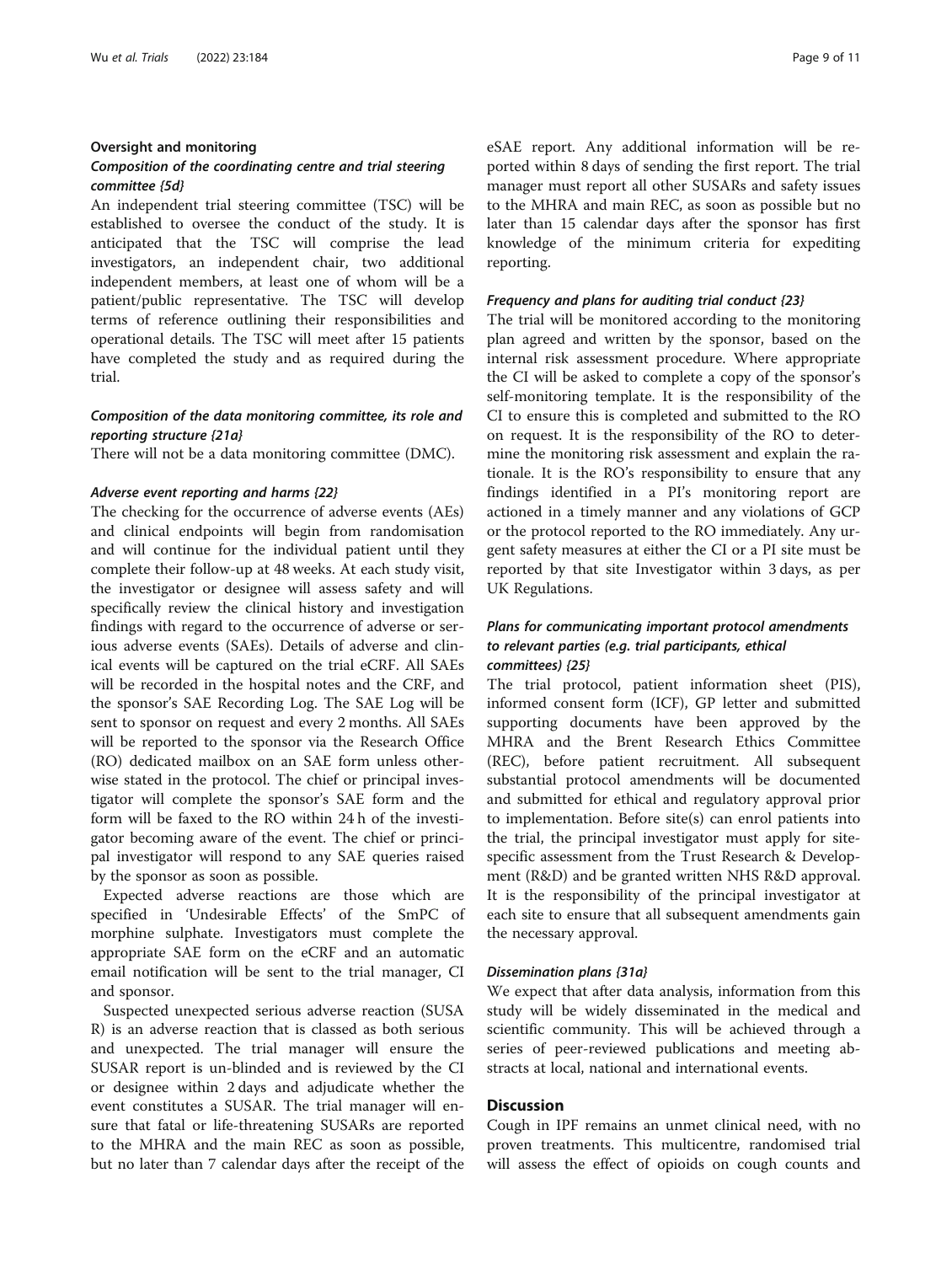## Oversight and monitoring

# Composition of the coordinating centre and trial steering committee {5d}

An independent trial steering committee (TSC) will be established to oversee the conduct of the study. It is anticipated that the TSC will comprise the lead investigators, an independent chair, two additional independent members, at least one of whom will be a patient/public representative. The TSC will develop terms of reference outlining their responsibilities and operational details. The TSC will meet after 15 patients have completed the study and as required during the trial.

# Composition of the data monitoring committee, its role and reporting structure {21a}

There will not be a data monitoring committee (DMC).

## Adverse event reporting and harms {22}

The checking for the occurrence of adverse events (AEs) and clinical endpoints will begin from randomisation and will continue for the individual patient until they complete their follow-up at 48 weeks. At each study visit, the investigator or designee will assess safety and will specifically review the clinical history and investigation findings with regard to the occurrence of adverse or serious adverse events (SAEs). Details of adverse and clinical events will be captured on the trial eCRF. All SAEs will be recorded in the hospital notes and the CRF, and the sponsor's SAE Recording Log. The SAE Log will be sent to sponsor on request and every 2 months. All SAEs will be reported to the sponsor via the Research Office (RO) dedicated mailbox on an SAE form unless otherwise stated in the protocol. The chief or principal investigator will complete the sponsor's SAE form and the form will be faxed to the RO within 24 h of the investigator becoming aware of the event. The chief or principal investigator will respond to any SAE queries raised by the sponsor as soon as possible.

Expected adverse reactions are those which are specified in 'Undesirable Effects' of the SmPC of morphine sulphate. Investigators must complete the appropriate SAE form on the eCRF and an automatic email notification will be sent to the trial manager, CI and sponsor.

Suspected unexpected serious adverse reaction (SUSA R) is an adverse reaction that is classed as both serious and unexpected. The trial manager will ensure the SUSAR report is un-blinded and is reviewed by the CI or designee within 2 days and adjudicate whether the event constitutes a SUSAR. The trial manager will ensure that fatal or life-threatening SUSARs are reported to the MHRA and the main REC as soon as possible, but no later than 7 calendar days after the receipt of the eSAE report. Any additional information will be reported within 8 days of sending the first report. The trial manager must report all other SUSARs and safety issues to the MHRA and main REC, as soon as possible but no later than 15 calendar days after the sponsor has first knowledge of the minimum criteria for expediting reporting.

## Frequency and plans for auditing trial conduct {23}

The trial will be monitored according to the monitoring plan agreed and written by the sponsor, based on the internal risk assessment procedure. Where appropriate the CI will be asked to complete a copy of the sponsor's self-monitoring template. It is the responsibility of the CI to ensure this is completed and submitted to the RO on request. It is the responsibility of the RO to determine the monitoring risk assessment and explain the rationale. It is the RO's responsibility to ensure that any findings identified in a PI's monitoring report are actioned in a timely manner and any violations of GCP or the protocol reported to the RO immediately. Any urgent safety measures at either the CI or a PI site must be reported by that site Investigator within 3 days, as per UK Regulations.

# Plans for communicating important protocol amendments to relevant parties (e.g. trial participants, ethical committees) {25}

The trial protocol, patient information sheet (PIS), informed consent form (ICF), GP letter and submitted supporting documents have been approved by the MHRA and the Brent Research Ethics Committee (REC), before patient recruitment. All subsequent substantial protocol amendments will be documented and submitted for ethical and regulatory approval prior to implementation. Before site(s) can enrol patients into the trial, the principal investigator must apply for sitespecific assessment from the Trust Research & Development (R&D) and be granted written NHS R&D approval. It is the responsibility of the principal investigator at each site to ensure that all subsequent amendments gain the necessary approval.

## Dissemination plans {31a}

We expect that after data analysis, information from this study will be widely disseminated in the medical and scientific community. This will be achieved through a series of peer-reviewed publications and meeting abstracts at local, national and international events.

# **Discussion**

Cough in IPF remains an unmet clinical need, with no proven treatments. This multicentre, randomised trial will assess the effect of opioids on cough counts and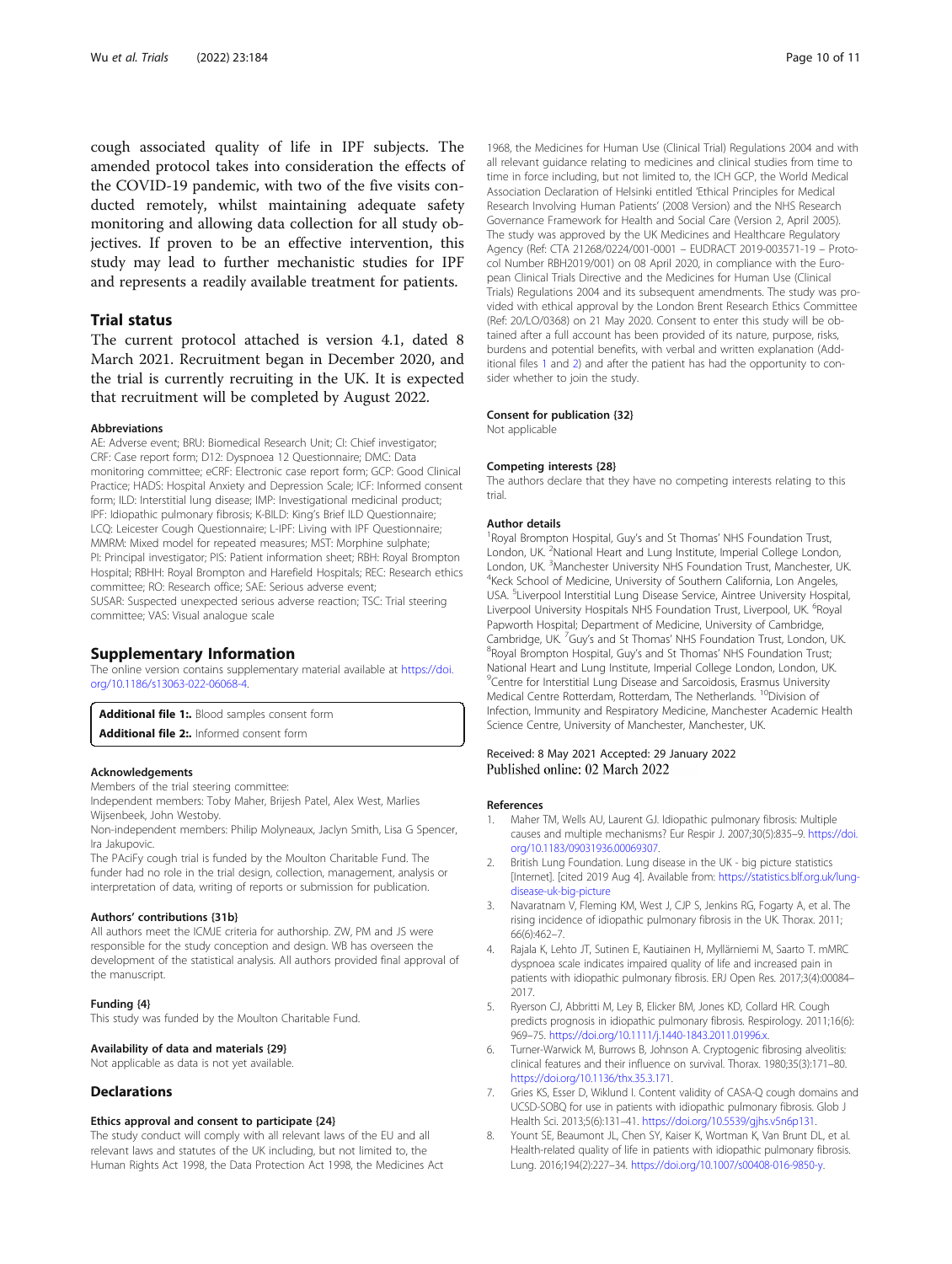<span id="page-9-0"></span>cough associated quality of life in IPF subjects. The amended protocol takes into consideration the effects of the COVID-19 pandemic, with two of the five visits conducted remotely, whilst maintaining adequate safety monitoring and allowing data collection for all study objectives. If proven to be an effective intervention, this study may lead to further mechanistic studies for IPF and represents a readily available treatment for patients.

# Trial status

The current protocol attached is version 4.1, dated 8 March 2021. Recruitment began in December 2020, and the trial is currently recruiting in the UK. It is expected that recruitment will be completed by August 2022.

## Abbreviations

AE: Adverse event; BRU: Biomedical Research Unit; CI: Chief investigator; CRF: Case report form; D12: Dyspnoea 12 Questionnaire; DMC: Data monitoring committee; eCRF: Electronic case report form; GCP: Good Clinical Practice; HADS: Hospital Anxiety and Depression Scale; ICF: Informed consent form; ILD: Interstitial lung disease; IMP: Investigational medicinal product; IPF: Idiopathic pulmonary fibrosis; K-BILD: King's Brief ILD Questionnaire; LCQ: Leicester Cough Questionnaire; L-IPF: Living with IPF Questionnaire; MMRM: Mixed model for repeated measures; MST: Morphine sulphate; PI: Principal investigator; PIS: Patient information sheet; RBH: Royal Brompton Hospital; RBHH: Royal Brompton and Harefield Hospitals; REC: Research ethics committee; RO: Research office; SAE: Serious adverse event; SUSAR: Suspected unexpected serious adverse reaction; TSC: Trial steering committee; VAS: Visual analogue scale

## Supplementary Information

The online version contains supplementary material available at [https://doi.](https://doi.org/10.1186/s13063-022-06068-4) [org/10.1186/s13063-022-06068-4.](https://doi.org/10.1186/s13063-022-06068-4)

Additional file 1:. Blood samples consent form

Additional file 2:. Informed consent form

## Acknowledgements

Members of the trial steering committee:

Independent members: Toby Maher, Brijesh Patel, Alex West, Marlies Wijsenbeek, John Westoby.

Non-independent members: Philip Molyneaux, Jaclyn Smith, Lisa G Spencer, Ira Jakupovic.

The PAciFy cough trial is funded by the Moulton Charitable Fund. The funder had no role in the trial design, collection, management, analysis or interpretation of data, writing of reports or submission for publication.

## Authors' contributions {31b}

All authors meet the ICMJE criteria for authorship. ZW, PM and JS were responsible for the study conception and design. WB has overseen the development of the statistical analysis. All authors provided final approval of the manuscript.

#### Funding {4}

This study was funded by the Moulton Charitable Fund.

## Availability of data and materials {29}

Not applicable as data is not yet available.

## **Declarations**

## Ethics approval and consent to participate {24}

The study conduct will comply with all relevant laws of the EU and all relevant laws and statutes of the UK including, but not limited to, the Human Rights Act 1998, the Data Protection Act 1998, the Medicines Act

1968, the Medicines for Human Use (Clinical Trial) Regulations 2004 and with all relevant guidance relating to medicines and clinical studies from time to time in force including, but not limited to, the ICH GCP, the World Medical Association Declaration of Helsinki entitled 'Ethical Principles for Medical Research Involving Human Patients' (2008 Version) and the NHS Research Governance Framework for Health and Social Care (Version 2, April 2005). The study was approved by the UK Medicines and Healthcare Regulatory Agency (Ref: CTA 21268/0224/001-0001 – EUDRACT 2019-003571-19 – Protocol Number RBH2019/001) on 08 April 2020, in compliance with the European Clinical Trials Directive and the Medicines for Human Use (Clinical Trials) Regulations 2004 and its subsequent amendments. The study was provided with ethical approval by the London Brent Research Ethics Committee (Ref: 20/LO/0368) on 21 May 2020. Consent to enter this study will be obtained after a full account has been provided of its nature, purpose, risks, burdens and potential benefits, with verbal and written explanation (Additional files 1 and 2) and after the patient has had the opportunity to consider whether to join the study.

## Consent for publication {32}

Not applicable

## Competing interests {28}

The authors declare that they have no competing interests relating to this trial.

## Author details

<sup>1</sup> Royal Brompton Hospital, Guy's and St Thomas' NHS Foundation Trust London, UK.<sup>2</sup>National Heart and Lung Institute, Imperial College London, London, UK.<sup>3</sup> Manchester University NHS Foundation Trust, Manchester, UK.<br><sup>4</sup>Keck School of Modicine, University of Southern California, Lee Angeles <sup>4</sup>Keck School of Medicine, University of Southern California, Lon Angeles, USA. <sup>5</sup> Liverpool Interstitial Lung Disease Service, Aintree University Hospital Liverpool University Hospitals NHS Foundation Trust, Liverpool, UK. <sup>6</sup>Royal Papworth Hospital; Department of Medicine, University of Cambridge, Cambridge, UK. <sup>7</sup>Guy's and St Thomas' NHS Foundation Trust, London, UK.<br><sup>8</sup>Povel Brompton Hospital Guy's and St Thomas' NHS Foundation Trust: <sup>8</sup>Royal Brompton Hospital, Guy's and St Thomas' NHS Foundation Trust; National Heart and Lung Institute, Imperial College London, London, UK. <sup>9</sup> Centre for Interstitial Lung Disease and Sarcoidosis, Erasmus University Medical Centre Rotterdam, Rotterdam, The Netherlands. <sup>10</sup>Division of Infection, Immunity and Respiratory Medicine, Manchester Academic Health Science Centre, University of Manchester, Manchester, UK.

## Received: 8 May 2021 Accepted: 29 January 2022 Published online: 02 March 2022

## References

- 1. Maher TM, Wells AU, Laurent GJ. Idiopathic pulmonary fibrosis: Multiple causes and multiple mechanisms? Eur Respir J. 2007;30(5):835–9. [https://doi.](https://doi.org/10.1183/09031936.00069307) [org/10.1183/09031936.00069307.](https://doi.org/10.1183/09031936.00069307)
- 2. British Lung Foundation. Lung disease in the UK big picture statistics [Internet]. [cited 2019 Aug 4]. Available from: [https://statistics.blf.org.uk/lung](https://statistics.blf.org.uk/lung-disease-uk-big-picture)[disease-uk-big-picture](https://statistics.blf.org.uk/lung-disease-uk-big-picture)
- 3. Navaratnam V, Fleming KM, West J, CJP S, Jenkins RG, Fogarty A, et al. The rising incidence of idiopathic pulmonary fibrosis in the UK. Thorax. 2011; 66(6):462–7.
- 4. Rajala K, Lehto JT, Sutinen E, Kautiainen H, Myllärniemi M, Saarto T. mMRC dyspnoea scale indicates impaired quality of life and increased pain in patients with idiopathic pulmonary fibrosis. ERJ Open Res. 2017;3(4):00084– 2017.
- 5. Ryerson CJ, Abbritti M, Ley B, Elicker BM, Jones KD, Collard HR. Cough predicts prognosis in idiopathic pulmonary fibrosis. Respirology. 2011;16(6): 969–75. <https://doi.org/10.1111/j.1440-1843.2011.01996.x>.
- 6. Turner-Warwick M, Burrows B, Johnson A. Cryptogenic fibrosing alveolitis: clinical features and their influence on survival. Thorax. 1980;35(3):171–80. [https://doi.org/10.1136/thx.35.3.171.](https://doi.org/10.1136/thx.35.3.171)
- 7. Gries KS, Esser D, Wiklund I. Content validity of CASA-Q cough domains and UCSD-SOBQ for use in patients with idiopathic pulmonary fibrosis. Glob J Health Sci. 2013;5(6):131–41. <https://doi.org/10.5539/gjhs.v5n6p131>.
- 8. Yount SE, Beaumont JL, Chen SY, Kaiser K, Wortman K, Van Brunt DL, et al. Health-related quality of life in patients with idiopathic pulmonary fibrosis. Lung. 2016;194(2):227–34. <https://doi.org/10.1007/s00408-016-9850-y>.